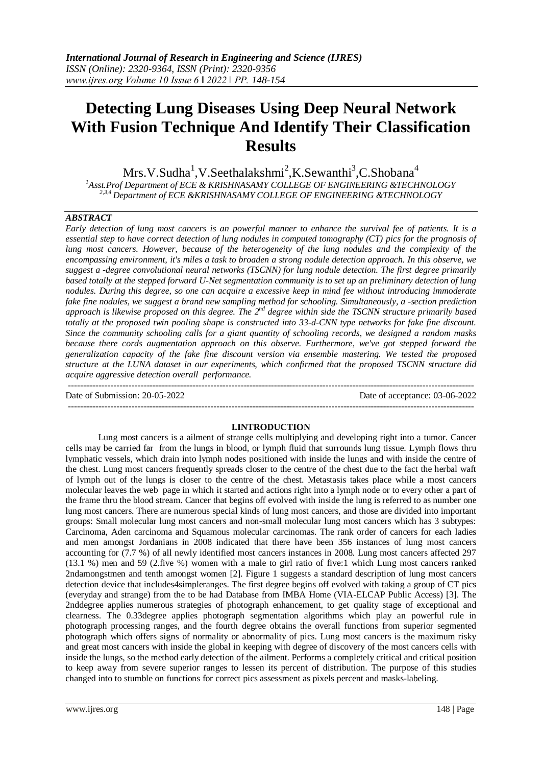# **Detecting Lung Diseases Using Deep Neural Network With Fusion Technique And Identify Their Classification Results**

 $Mrs.V.Sudha<sup>1</sup>, V.Seethalakshmi<sup>2</sup>, K.Sewanthi<sup>3</sup>, C.Shobana<sup>4</sup>$ *<sup>1</sup>Asst.Prof Department of ECE & KRISHNASAMY COLLEGE OF ENGINEERING &TECHNOLOGY 2,3,4 Department of ECE &KRISHNASAMY COLLEGE OF ENGINEERING &TECHNOLOGY*

## *ABSTRACT*

*Early detection of lung most cancers is an powerful manner to enhance the survival fee of patients. It is a essential step to have correct detection of lung nodules in computed tomography (CT) pics for the prognosis of lung most cancers. However, because of the heterogeneity of the lung nodules and the complexity of the encompassing environment, it's miles a task to broaden a strong nodule detection approach. In this observe, we suggest a -degree convolutional neural networks (TSCNN) for lung nodule detection. The first degree primarily based totally at the stepped forward U-Net segmentation community is to set up an preliminary detection of lung nodules. During this degree, so one can acquire a excessive keep in mind fee without introducing immoderate fake fine nodules, we suggest a brand new sampling method for schooling. Simultaneously, a -section prediction*  approach is likewise proposed on this degree. The 2<sup>nd</sup> degree within side the TSCNN structure primarily based *totally at the proposed twin pooling shape is constructed into 33-d-CNN type networks for fake fine discount. Since the community schooling calls for a giant quantity of schooling records, we designed a random masks because there cords augmentation approach on this observe. Furthermore, we've got stepped forward the generalization capacity of the fake fine discount version via ensemble mastering. We tested the proposed structure at the LUNA dataset in our experiments, which confirmed that the proposed TSCNN structure did acquire aggressive detection overall performance.* --------------------------------------------------------------------------------------------------------------------------------------

Date of Submission: 20-05-2022 Date of acceptance: 03-06-2022 --------------------------------------------------------------------------------------------------------------------------------------

#### **I.INTRODUCTION**

Lung most cancers is a ailment of strange cells multiplying and developing right into a tumor. Cancer cells may be carried far from the lungs in blood, or lymph fluid that surrounds lung tissue. Lymph flows thru lymphatic vessels, which drain into lymph nodes positioned with inside the lungs and with inside the centre of the chest. Lung most cancers frequently spreads closer to the centre of the chest due to the fact the herbal waft of lymph out of the lungs is closer to the centre of the chest. Metastasis takes place while a most cancers molecular leaves the web page in which it started and actions right into a lymph node or to every other a part of the frame thru the blood stream. Cancer that begins off evolved with inside the lung is referred to as number one lung most cancers. There are numerous special kinds of lung most cancers, and those are divided into important groups: Small molecular lung most cancers and non-small molecular lung most cancers which has 3 subtypes: Carcinoma, Aden carcinoma and Squamous molecular carcinomas. The rank order of cancers for each ladies and men amongst Jordanians in 2008 indicated that there have been 356 instances of lung most cancers accounting for (7.7 %) of all newly identified most cancers instances in 2008. Lung most cancers affected 297 (13.1 %) men and 59 (2.five %) women with a male to girl ratio of five:1 which Lung most cancers ranked 2ndamongstmen and tenth amongst women [2]. Figure 1 suggests a standard description of lung most cancers detection device that includes4simpleranges. The first degree begins off evolved with taking a group of CT pics (everyday and strange) from the to be had Database from IMBA Home (VIA-ELCAP Public Access) [3]. The 2nddegree applies numerous strategies of photograph enhancement, to get quality stage of exceptional and clearness. The 0.33degree applies photograph segmentation algorithms which play an powerful rule in photograph processing ranges, and the fourth degree obtains the overall functions from superior segmented photograph which offers signs of normality or abnormality of pics. Lung most cancers is the maximum risky and great most cancers with inside the global in keeping with degree of discovery of the most cancers cells with inside the lungs, so the method early detection of the ailment. Performs a completely critical and critical position to keep away from severe superior ranges to lessen its percent of distribution. The purpose of this studies changed into to stumble on functions for correct pics assessment as pixels percent and masks-labeling.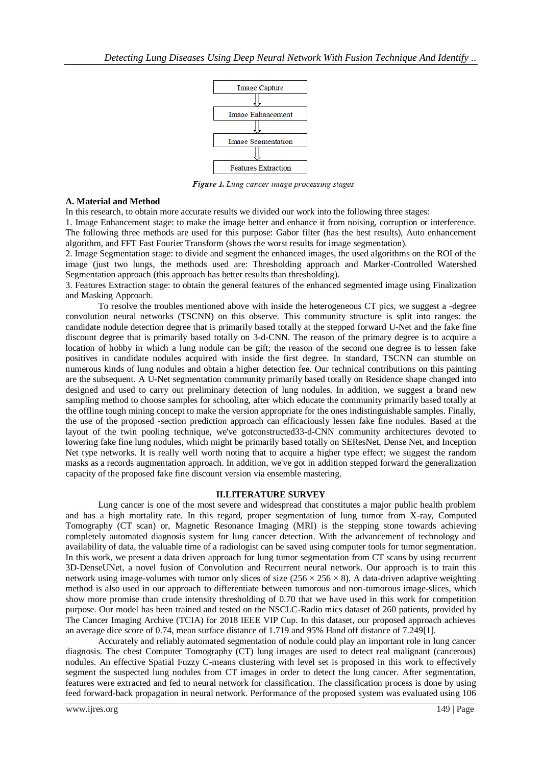

Figure 1. Lung cancer image processing stages

#### **A. Material and Method**

In this research, to obtain more accurate results we divided our work into the following three stages:

1. Image Enhancement stage: to make the image better and enhance it from noising, corruption or interference. The following three methods are used for this purpose: Gabor filter (has the best results), Auto enhancement algorithm, and FFT Fast Fourier Transform (shows the worst results for image segmentation).

2. Image Segmentation stage: to divide and segment the enhanced images, the used algorithms on the ROI of the image (just two lungs, the methods used are: Thresholding approach and Marker-Controlled Watershed Segmentation approach (this approach has better results than thresholding).

3. Features Extraction stage: to obtain the general features of the enhanced segmented image using Finalization and Masking Approach.

To resolve the troubles mentioned above with inside the heterogeneous CT pics, we suggest a -degree convolution neural networks (TSCNN) on this observe. This community structure is split into ranges: the candidate nodule detection degree that is primarily based totally at the stepped forward U-Net and the fake fine discount degree that is primarily based totally on 3-d-CNN. The reason of the primary degree is to acquire a location of hobby in which a lung nodule can be gift; the reason of the second one degree is to lessen fake positives in candidate nodules acquired with inside the first degree. In standard, TSCNN can stumble on numerous kinds of lung nodules and obtain a higher detection fee. Our technical contributions on this painting are the subsequent. A U-Net segmentation community primarily based totally on Residence shape changed into designed and used to carry out preliminary detection of lung nodules. In addition, we suggest a brand new sampling method to choose samples for schooling, after which educate the community primarily based totally at the offline tough mining concept to make the version appropriate for the ones indistinguishable samples. Finally, the use of the proposed -section prediction approach can efficaciously lessen fake fine nodules. Based at the layout of the twin pooling technique, we've gotconstructed33-d-CNN community architectures devoted to lowering fake fine lung nodules, which might be primarily based totally on SEResNet, Dense Net, and Inception Net type networks. It is really well worth noting that to acquire a higher type effect; we suggest the random masks as a records augmentation approach. In addition, we've got in addition stepped forward the generalization capacity of the proposed fake fine discount version via ensemble mastering.

#### **II.LITERATURE SURVEY**

Lung cancer is one of the most severe and widespread that constitutes a major public health problem and has a high mortality rate. In this regard, proper segmentation of lung tumor from X-ray, Computed Tomography (CT scan) or, Magnetic Resonance Imaging (MRI) is the stepping stone towards achieving completely automated diagnosis system for lung cancer detection. With the advancement of technology and availability of data, the valuable time of a radiologist can be saved using computer tools for tumor segmentation. In this work, we present a data driven approach for lung tumor segmentation from CT scans by using recurrent 3D-DenseUNet, a novel fusion of Convolution and Recurrent neural network. Our approach is to train this network using image-volumes with tumor only slices of size  $(256 \times 256 \times 8)$ . A data-driven adaptive weighting method is also used in our approach to differentiate between tumorous and non-tumorous image-slices, which show more promise than crude intensity thresholding of 0.70 that we have used in this work for competition purpose. Our model has been trained and tested on the NSCLC-Radio mics dataset of 260 patients, provided by The Cancer Imaging Archive (TCIA) for 2018 IEEE VIP Cup. In this dataset, our proposed approach achieves an average dice score of 0.74, mean surface distance of 1.719 and 95% Hand off distance of 7.249[1].

Accurately and reliably automated segmentation of nodule could play an important role in lung cancer diagnosis. The chest Computer Tomography (CT) lung images are used to detect real malignant (cancerous) nodules. An effective Spatial Fuzzy C-means clustering with level set is proposed in this work to effectively segment the suspected lung nodules from CT images in order to detect the lung cancer. After segmentation, features were extracted and fed to neural network for classification. The classification process is done by using feed forward-back propagation in neural network. Performance of the proposed system was evaluated using 106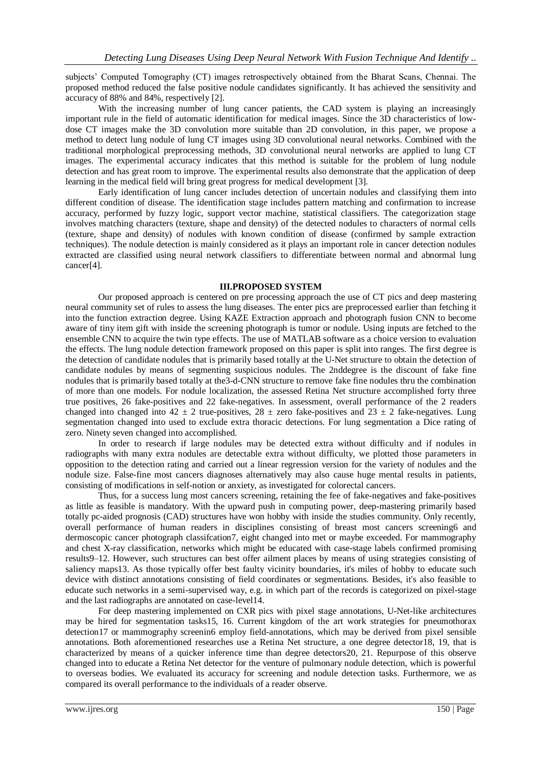subjects' Computed Tomography (CT) images retrospectively obtained from the Bharat Scans, Chennai. The proposed method reduced the false positive nodule candidates significantly. It has achieved the sensitivity and accuracy of 88% and 84%, respectively [2].

With the increasing number of lung cancer patients, the CAD system is playing an increasingly important rule in the field of automatic identification for medical images. Since the 3D characteristics of lowdose CT images make the 3D convolution more suitable than 2D convolution, in this paper, we propose a method to detect lung nodule of lung CT images using 3D convolutional neural networks. Combined with the traditional morphological preprocessing methods, 3D convolutional neural networks are applied to lung CT images. The experimental accuracy indicates that this method is suitable for the problem of lung nodule detection and has great room to improve. The experimental results also demonstrate that the application of deep learning in the medical field will bring great progress for medical development [3].

Early identification of lung cancer includes detection of uncertain nodules and classifying them into different condition of disease. The identification stage includes pattern matching and confirmation to increase accuracy, performed by fuzzy logic, support vector machine, statistical classifiers. The categorization stage involves matching characters (texture, shape and density) of the detected nodules to characters of normal cells (texture, shape and density) of nodules with known condition of disease (confirmed by sample extraction techniques). The nodule detection is mainly considered as it plays an important role in cancer detection nodules extracted are classified using neural network classifiers to differentiate between normal and abnormal lung cancer[4].

# **III.PROPOSED SYSTEM**

Our proposed approach is centered on pre processing approach the use of CT pics and deep mastering neural community set of rules to assess the lung diseases. The enter pics are preprocessed earlier than fetching it into the function extraction degree. Using KAZE Extraction approach and photograph fusion CNN to become aware of tiny item gift with inside the screening photograph is tumor or nodule. Using inputs are fetched to the ensemble CNN to acquire the twin type effects. The use of MATLAB software as a choice version to evaluation the effects. The lung nodule detection framework proposed on this paper is split into ranges. The first degree is the detection of candidate nodules that is primarily based totally at the U-Net structure to obtain the detection of candidate nodules by means of segmenting suspicious nodules. The 2nddegree is the discount of fake fine nodules that is primarily based totally at the3-d-CNN structure to remove fake fine nodules thru the combination of more than one models. For nodule localization, the assessed Retina Net structure accomplished forty three true positives, 26 fake-positives and 22 fake-negatives. In assessment, overall performance of the 2 readers changed into changed into  $42 \pm 2$  true-positives,  $28 \pm$  zero fake-positives and  $23 \pm 2$  fake-negatives. Lung segmentation changed into used to exclude extra thoracic detections. For lung segmentation a Dice rating of zero. Ninety seven changed into accomplished.

In order to research if large nodules may be detected extra without difficulty and if nodules in radiographs with many extra nodules are detectable extra without difficulty, we plotted those parameters in opposition to the detection rating and carried out a linear regression version for the variety of nodules and the nodule size. False-fine most cancers diagnoses alternatively may also cause huge mental results in patients, consisting of modifications in self-notion or anxiety, as investigated for colorectal cancers.

Thus, for a success lung most cancers screening, retaining the fee of fake-negatives and fake-positives as little as feasible is mandatory. With the upward push in computing power, deep-mastering primarily based totally pc-aided prognosis (CAD) structures have won hobby with inside the studies community. Only recently, overall performance of human readers in disciplines consisting of breast most cancers screening6 and dermoscopic cancer photograph classifcation7, eight changed into met or maybe exceeded. For mammography and chest X-ray classification, networks which might be educated with case-stage labels confirmed promising results9–12. However, such structures can best offer ailment places by means of using strategies consisting of saliency maps13. As those typically offer best faulty vicinity boundaries, it's miles of hobby to educate such device with distinct annotations consisting of field coordinates or segmentations. Besides, it's also feasible to educate such networks in a semi-supervised way, e.g. in which part of the records is categorized on pixel-stage and the last radiographs are annotated on case-level14.

For deep mastering implemented on CXR pics with pixel stage annotations, U-Net-like architectures may be hired for segmentation tasks15, 16. Current kingdom of the art work strategies for pneumothorax detection17 or mammography screenin6 employ field-annotations, which may be derived from pixel sensible annotations. Both aforementioned researches use a Retina Net structure, a one degree detector18, 19, that is characterized by means of a quicker inference time than degree detectors20, 21. Repurpose of this observe changed into to educate a Retina Net detector for the venture of pulmonary nodule detection, which is powerful to overseas bodies. We evaluated its accuracy for screening and nodule detection tasks. Furthermore, we as compared its overall performance to the individuals of a reader observe.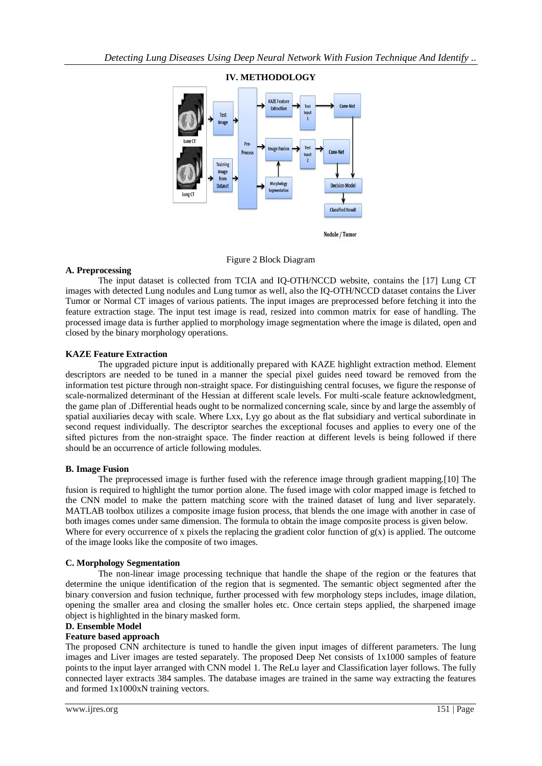

## **IV. METHODOLOGY**

## Figure 2 Block Diagram

## **A. Preprocessing**

The input dataset is collected from TCIA and IQ-OTH/NCCD website, contains the [17] Lung CT images with detected Lung nodules and Lung tumor as well, also the IQ-OTH/NCCD dataset contains the Liver Tumor or Normal CT images of various patients. The input images are preprocessed before fetching it into the feature extraction stage. The input test image is read, resized into common matrix for ease of handling. The processed image data is further applied to morphology image segmentation where the image is dilated, open and closed by the binary morphology operations.

## **KAZE Feature Extraction**

The upgraded picture input is additionally prepared with KAZE highlight extraction method. Element descriptors are needed to be tuned in a manner the special pixel guides need toward be removed from the information test picture through non-straight space. For distinguishing central focuses, we figure the response of scale-normalized determinant of the Hessian at different scale levels. For multi-scale feature acknowledgment, the game plan of .Differential heads ought to be normalized concerning scale, since by and large the assembly of spatial auxiliaries decay with scale. Where Lxx, Lyy go about as the flat subsidiary and vertical subordinate in second request individually. The descriptor searches the exceptional focuses and applies to every one of the sifted pictures from the non-straight space. The finder reaction at different levels is being followed if there should be an occurrence of article following modules.

## **B. Image Fusion**

The preprocessed image is further fused with the reference image through gradient mapping.[10] The fusion is required to highlight the tumor portion alone. The fused image with color mapped image is fetched to the CNN model to make the pattern matching score with the trained dataset of lung and liver separately. MATLAB toolbox utilizes a composite image fusion process, that blends the one image with another in case of both images comes under same dimension. The formula to obtain the image composite process is given below. Where for every occurrence of x pixels the replacing the gradient color function of  $g(x)$  is applied. The outcome of the image looks like the composite of two images.

## **C. Morphology Segmentation**

The non-linear image processing technique that handle the shape of the region or the features that determine the unique identification of the region that is segmented. The semantic object segmented after the binary conversion and fusion technique, further processed with few morphology steps includes, image dilation, opening the smaller area and closing the smaller holes etc. Once certain steps applied, the sharpened image object is highlighted in the binary masked form.

# **D. Ensemble Model**

#### **Feature based approach**

The proposed CNN architecture is tuned to handle the given input images of different parameters. The lung images and Liver images are tested separately. The proposed Deep Net consists of 1x1000 samples of feature points to the input layer arranged with CNN model 1. The ReLu layer and Classification layer follows. The fully connected layer extracts 384 samples. The database images are trained in the same way extracting the features and formed 1x1000xN training vectors.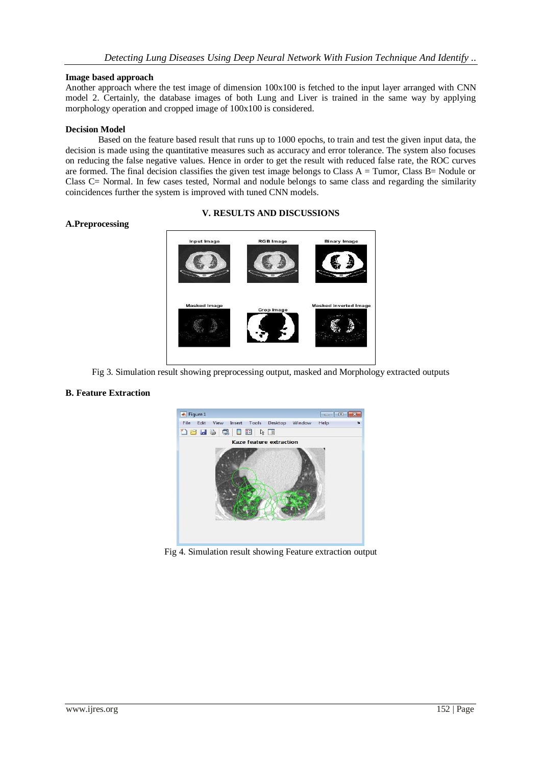## **Image based approach**

Another approach where the test image of dimension 100x100 is fetched to the input layer arranged with CNN model 2. Certainly, the database images of both Lung and Liver is trained in the same way by applying morphology operation and cropped image of 100x100 is considered.

## **Decision Model**

Based on the feature based result that runs up to 1000 epochs, to train and test the given input data, the decision is made using the quantitative measures such as accuracy and error tolerance. The system also focuses on reducing the false negative values. Hence in order to get the result with reduced false rate, the ROC curves are formed. The final decision classifies the given test image belongs to Class  $A = T$ umor, Class  $B = N$ odule or Class C= Normal. In few cases tested, Normal and nodule belongs to same class and regarding the similarity coincidences further the system is improved with tuned CNN models.

# **V. RESULTS AND DISCUSSIONS**

# **A.Preprocessing**



Fig 3. Simulation result showing preprocessing output, masked and Morphology extracted outputs

# **B. Feature Extraction**



Fig 4. Simulation result showing Feature extraction output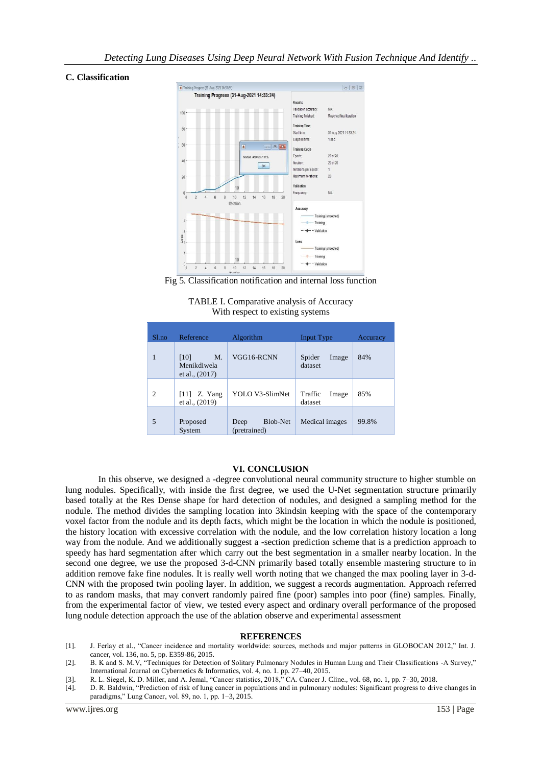## **C. Classification**



Fig 5. Classification notification and internal loss function

| TABLE I. Comparative analysis of Accuracy |
|-------------------------------------------|
| With respect to existing systems          |

| $S1$ .no       | Reference                                     | Algorithm                        | Input Type                  | Accuracy |
|----------------|-----------------------------------------------|----------------------------------|-----------------------------|----------|
|                | [10]<br>M.<br>Menikdiwela<br>et al., $(2017)$ | VGG16-RCNN                       | Spider<br>Image<br>dataset  | 84%      |
| $\mathfrak{D}$ | $[11]$ Z. Yang<br>et al., (2019)              | YOLO V3-SlimNet                  | Traffic<br>Image<br>dataset | 85%      |
| 5              | Proposed<br>System                            | Blob-Net<br>Deep<br>(pretrained) | Medical images              | 99.8%    |

## **VI. CONCLUSION**

In this observe, we designed a -degree convolutional neural community structure to higher stumble on lung nodules. Specifically, with inside the first degree, we used the U-Net segmentation structure primarily based totally at the Res Dense shape for hard detection of nodules, and designed a sampling method for the nodule. The method divides the sampling location into 3kindsin keeping with the space of the contemporary voxel factor from the nodule and its depth facts, which might be the location in which the nodule is positioned, the history location with excessive correlation with the nodule, and the low correlation history location a long way from the nodule. And we additionally suggest a -section prediction scheme that is a prediction approach to speedy has hard segmentation after which carry out the best segmentation in a smaller nearby location. In the second one degree, we use the proposed 3-d-CNN primarily based totally ensemble mastering structure to in addition remove fake fine nodules. It is really well worth noting that we changed the max pooling layer in 3-d-CNN with the proposed twin pooling layer. In addition, we suggest a records augmentation. Approach referred to as random masks, that may convert randomly paired fine (poor) samples into poor (fine) samples. Finally, from the experimental factor of view, we tested every aspect and ordinary overall performance of the proposed lung nodule detection approach the use of the ablation observe and experimental assessment

#### **REFERENCES**

- [1]. J. Ferlay et al., "Cancer incidence and mortality worldwide: sources, methods and major patterns in GLOBOCAN 2012," Int. J. cancer, vol. 136, no. 5, pp. E359-86, 2015.
- [2]. B. K and S. M.V, "Techniques for Detection of Solitary Pulmonary Nodules in Human Lung and Their Classifications -A Survey," International Journal on Cybernetics & Informatics, vol. 4, no. 1. pp. 27–40, 2015.
- [3]. R. L. Siegel, K. D. Miller, and A. Jemal, "Cancer statistics, 2018," CA. Cancer J. Cline., vol. 68, no. 1, pp. 7–30, 2018.
- [4]. D. R. Baldwin, "Prediction of risk of lung cancer in populations and in pulmonary nodules: Significant progress to drive changes in paradigms," Lung Cancer, vol. 89, no. 1, pp. 1–3, 2015.